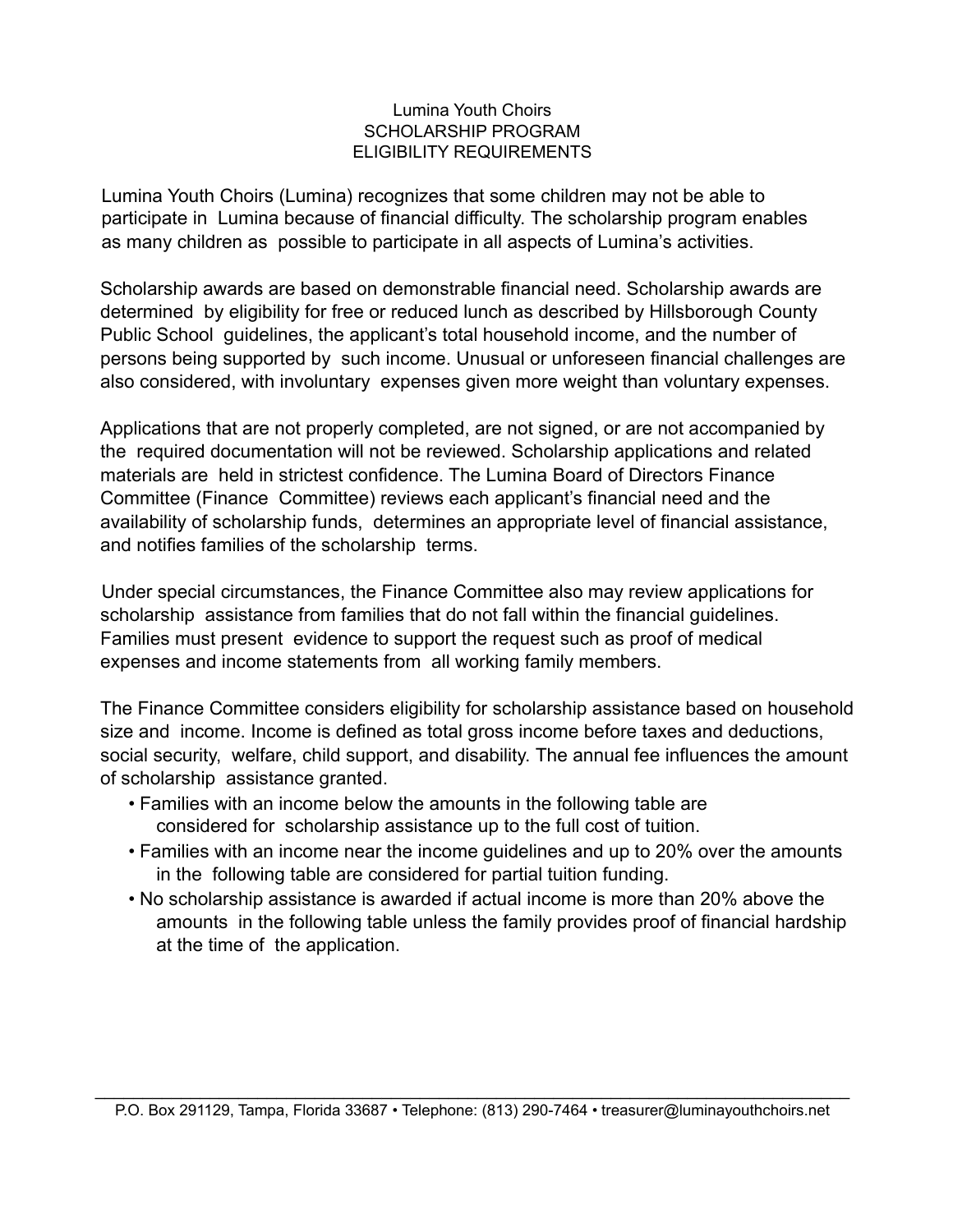### Lumina Youth Choirs SCHOLARSHIP PROGRAM ELIGIBILITY REQUIREMENTS

Lumina Youth Choirs (Lumina) recognizes that some children may not be able to participate in Lumina because of financial difficulty. The scholarship program enables as many children as possible to participate in all aspects of Lumina's activities.

Scholarship awards are based on demonstrable financial need. Scholarship awards are determined by eligibility for free or reduced lunch as described by Hillsborough County Public School guidelines, the applicant's total household income, and the number of persons being supported by such income. Unusual or unforeseen financial challenges are also considered, with involuntary expenses given more weight than voluntary expenses.

Applications that are not properly completed, are not signed, or are not accompanied by the required documentation will not be reviewed. Scholarship applications and related materials are held in strictest confidence. The Lumina Board of Directors Finance Committee (Finance Committee) reviews each applicant's financial need and the availability of scholarship funds, determines an appropriate level of financial assistance, and notifies families of the scholarship terms.

Under special circumstances, the Finance Committee also may review applications for scholarship assistance from families that do not fall within the financial guidelines. Families must present evidence to support the request such as proof of medical expenses and income statements from all working family members.

The Finance Committee considers eligibility for scholarship assistance based on household size and income. Income is defined as total gross income before taxes and deductions, social security, welfare, child support, and disability. The annual fee influences the amount of scholarship assistance granted.

- Families with an income below the amounts in the following table are considered for scholarship assistance up to the full cost of tuition.
- Families with an income near the income guidelines and up to 20% over the amounts in the following table are considered for partial tuition funding.
- No scholarship assistance is awarded if actual income is more than 20% above the amounts in the following table unless the family provides proof of financial hardship at the time of the application.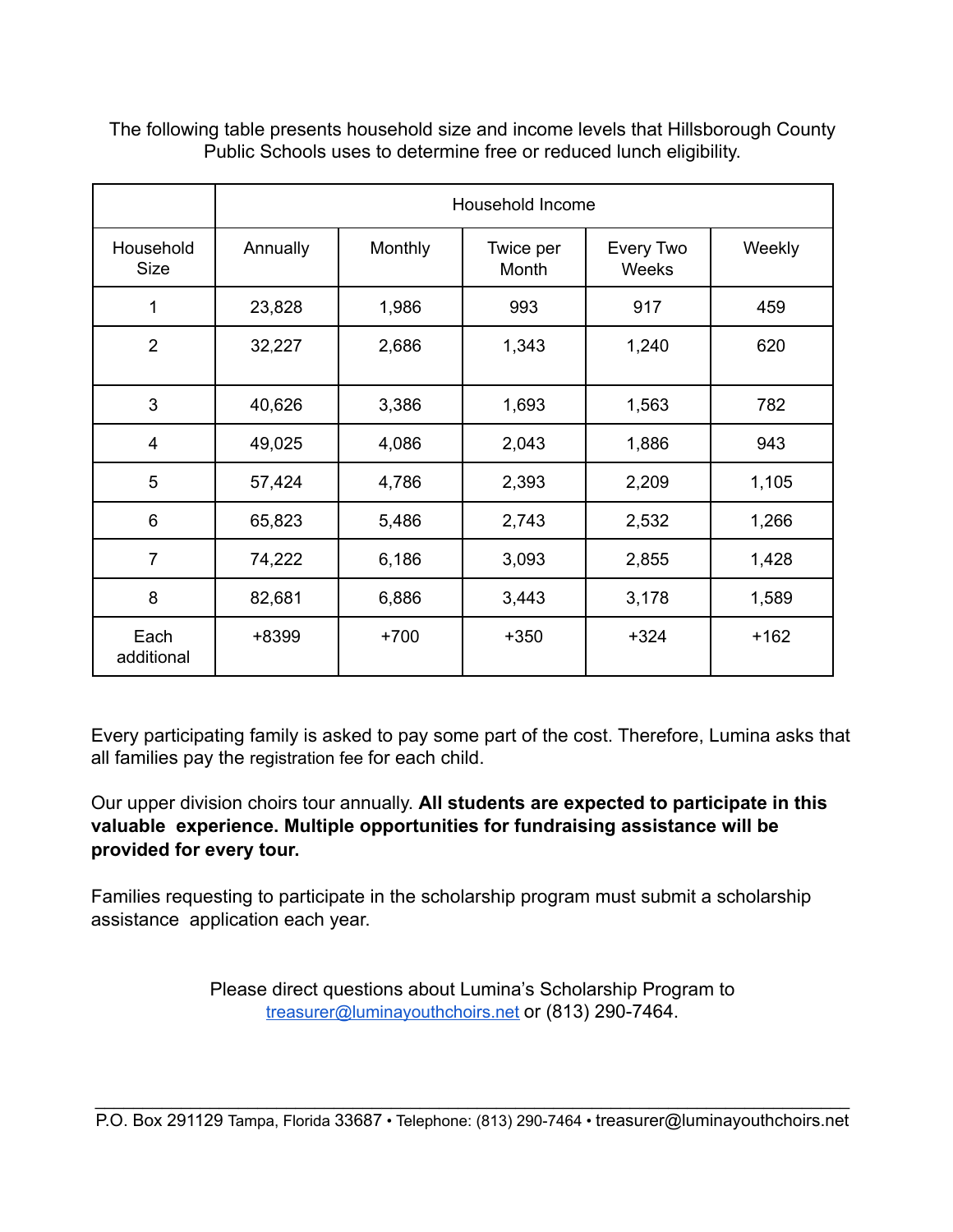|                          | Household Income |         |                    |                    |        |
|--------------------------|------------------|---------|--------------------|--------------------|--------|
| Household<br><b>Size</b> | Annually         | Monthly | Twice per<br>Month | Every Two<br>Weeks | Weekly |
| 1                        | 23,828           | 1,986   | 993                | 917                | 459    |
| $\overline{2}$           | 32,227           | 2,686   | 1,343              | 1,240              | 620    |
| 3                        | 40,626           | 3,386   | 1,693              | 1,563              | 782    |
| $\overline{\mathbf{4}}$  | 49,025           | 4,086   | 2,043              | 1,886              | 943    |
| 5                        | 57,424           | 4,786   | 2,393              | 2,209              | 1,105  |
| 6                        | 65,823           | 5,486   | 2,743              | 2,532              | 1,266  |
| $\overline{7}$           | 74,222           | 6,186   | 3,093              | 2,855              | 1,428  |
| 8                        | 82,681           | 6,886   | 3,443              | 3,178              | 1,589  |
| Each<br>additional       | +8399            | $+700$  | $+350$             | $+324$             | $+162$ |

The following table presents household size and income levels that Hillsborough County Public Schools uses to determine free or reduced lunch eligibility.

Every participating family is asked to pay some part of the cost. Therefore, Lumina asks that all families pay the registration fee for each child.

Our upper division choirs tour annually. **All students are expected to participate in this valuable experience. Multiple opportunities for fundraising assistance will be provided for every tour.**

Families requesting to participate in the scholarship program must submit a scholarship assistance application each year.

> Please direct questions about Lumina's Scholarship Program to [treasurer@luminayouthchoirs.net](mailto:treasurer@luminayouthchoirs.net) or (813) 290-7464.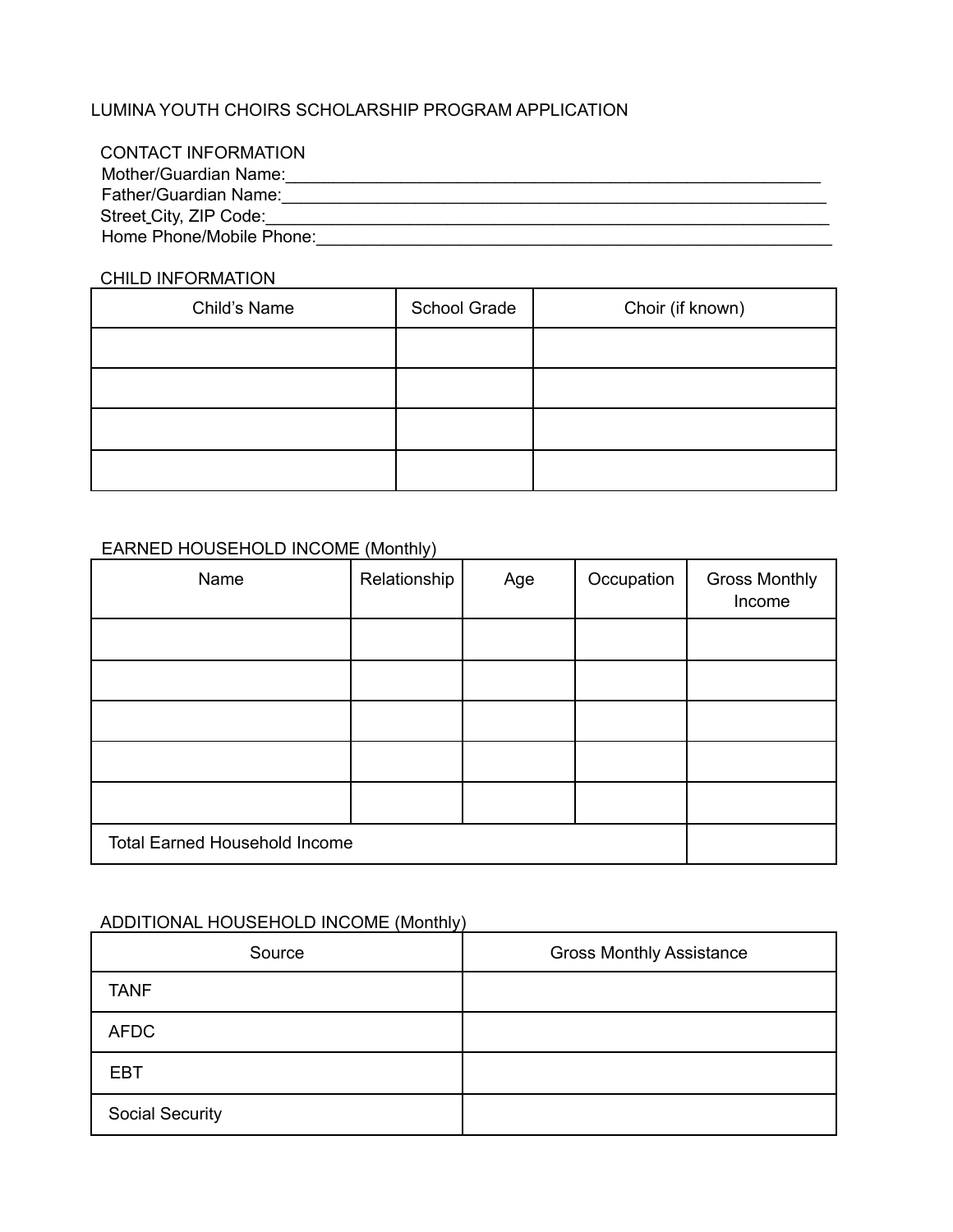## LUMINA YOUTH CHOIRS SCHOLARSHIP PROGRAM APPLICATION

| <b>CONTACT INFORMATION</b>          |  |
|-------------------------------------|--|
| Mother/Guardian Name:               |  |
| Father/Guardian Name:               |  |
| Street <sub>-City</sub> , ZIP Code: |  |
| Home Phone/Mobile Phone:            |  |

#### CHILD INFORMATION

| Child's Name | School Grade | Choir (if known) |
|--------------|--------------|------------------|
|              |              |                  |
|              |              |                  |
|              |              |                  |
|              |              |                  |

## EARNED HOUSEHOLD INCOME (Monthly)

| Name                                 | Relationship | Age | Occupation | <b>Gross Monthly</b><br>Income |
|--------------------------------------|--------------|-----|------------|--------------------------------|
|                                      |              |     |            |                                |
|                                      |              |     |            |                                |
|                                      |              |     |            |                                |
|                                      |              |     |            |                                |
|                                      |              |     |            |                                |
| <b>Total Earned Household Income</b> |              |     |            |                                |

# ADDITIONAL HOUSEHOLD INCOME (Monthly) ADDITIONAL HOUSEHOLD INCOME (Monthly)

| Source                 | <b>Gross Monthly Assistance</b> |
|------------------------|---------------------------------|
| <b>TANF</b>            |                                 |
| <b>AFDC</b>            |                                 |
| <b>EBT</b>             |                                 |
| <b>Social Security</b> |                                 |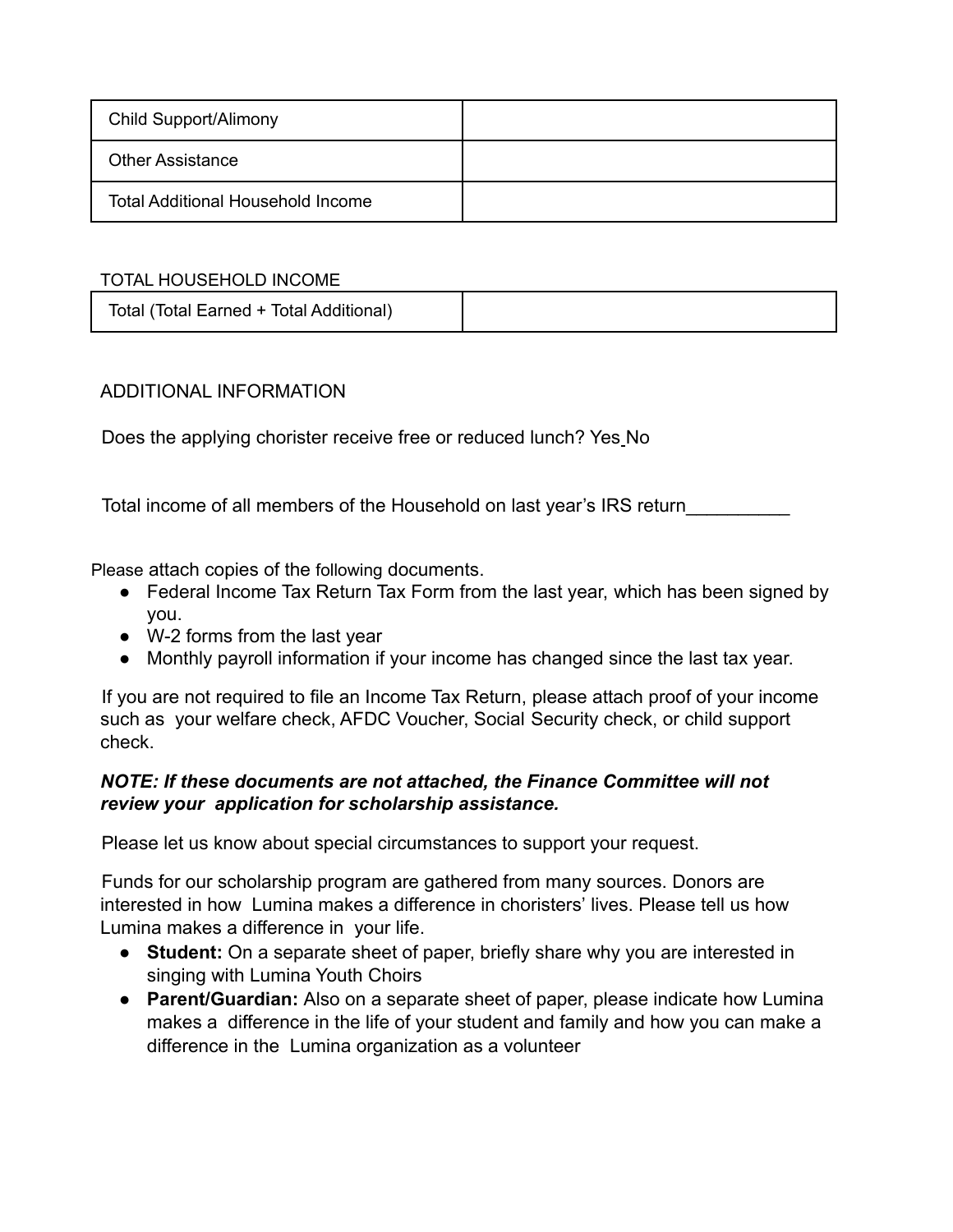| Child Support/Alimony                    |  |
|------------------------------------------|--|
| <b>Other Assistance</b>                  |  |
| <b>Total Additional Household Income</b> |  |

## TOTAL HOUSEHOLD INCOME

| Total (Total Earned + Total Additional) |  |
|-----------------------------------------|--|
|-----------------------------------------|--|

## ADDITIONAL INFORMATION

Does the applying chorister receive free or reduced lunch? Yes No

Total income of all members of the Household on last year's IRS return\_\_\_\_\_\_\_\_\_\_

Please attach copies of the following documents.

- Federal Income Tax Return Tax Form from the last year, which has been signed by you.
- W-2 forms from the last year
- Monthly payroll information if your income has changed since the last tax year.

If you are not required to file an Income Tax Return, please attach proof of your income such as your welfare check, AFDC Voucher, Social Security check, or child support check.

# *NOTE: If these documents are not attached, the Finance Committee will not review your application for scholarship assistance.*

Please let us know about special circumstances to support your request.

Funds for our scholarship program are gathered from many sources. Donors are interested in how Lumina makes a difference in choristers' lives. Please tell us how Lumina makes a difference in your life.

- **Student:** On a separate sheet of paper, briefly share why you are interested in singing with Lumina Youth Choirs
- **Parent/Guardian:** Also on a separate sheet of paper, please indicate how Lumina makes a difference in the life of your student and family and how you can make a difference in the Lumina organization as a volunteer